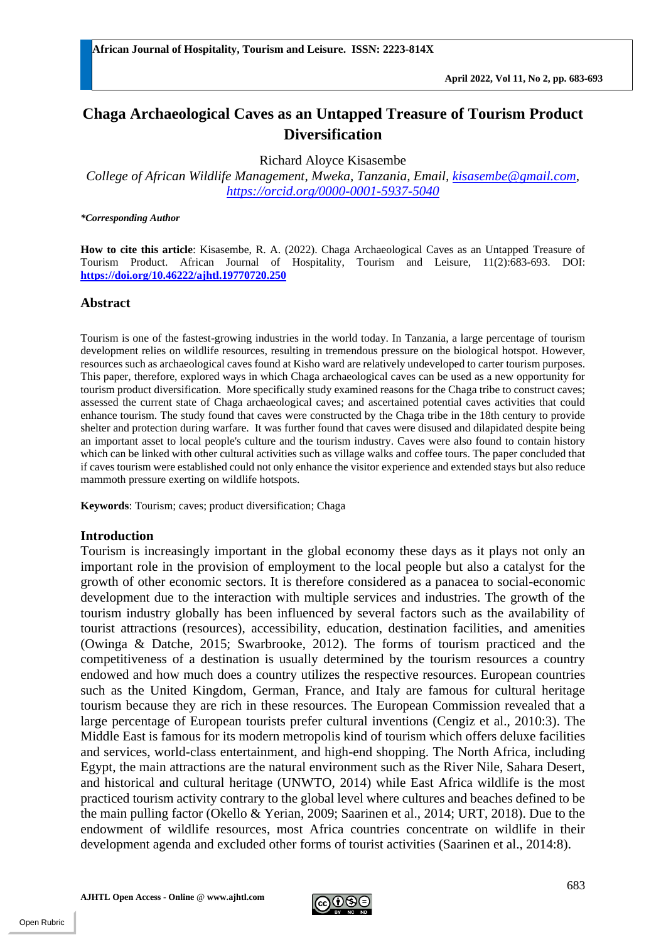# **Chaga Archaeological Caves as an Untapped Treasure of Tourism Product Diversification**

Richard Aloyce Kisasembe

*College of African Wildlife Management, Mweka, Tanzania, Email, [kisasembe@gmail.com,](mailto:kisasembe@gmail.com) <https://orcid.org/0000-0001-5937-5040>*

#### *\*Corresponding Author*

**How to cite this article**: Kisasembe, R. A. (2022). Chaga Archaeological Caves as an Untapped Treasure of Tourism Product. African Journal of Hospitality, Tourism and Leisure, 11(2):683-693. DOI: **<https://doi.org/10.46222/ajhtl.19770720.250>**

#### **Abstract**

Tourism is one of the fastest-growing industries in the world today. In Tanzania, a large percentage of tourism development relies on wildlife resources, resulting in tremendous pressure on the biological hotspot. However, resources such as archaeological caves found at Kisho ward are relatively undeveloped to carter tourism purposes. This paper, therefore, explored ways in which Chaga archaeological caves can be used as a new opportunity for tourism product diversification. More specifically study examined reasons for the Chaga tribe to construct caves; assessed the current state of Chaga archaeological caves; and ascertained potential caves activities that could enhance tourism. The study found that caves were constructed by the Chaga tribe in the 18th century to provide shelter and protection during warfare. It was further found that caves were disused and dilapidated despite being an important asset to local people's culture and the tourism industry. Caves were also found to contain history which can be linked with other cultural activities such as village walks and coffee tours. The paper concluded that if caves tourism were established could not only enhance the visitor experience and extended stays but also reduce mammoth pressure exerting on wildlife hotspots.

**Keywords**: Tourism; caves; product diversification; Chaga

# **Introduction**

Tourism is increasingly important in the global economy these days as it plays not only an important role in the provision of employment to the local people but also a catalyst for the growth of other economic sectors. It is therefore considered as a panacea to social-economic development due to the interaction with multiple services and industries. The growth of the tourism industry globally has been influenced by several factors such as the availability of tourist attractions (resources), accessibility, education, destination facilities, and amenities (Owinga & Datche, 2015; Swarbrooke, 2012). The forms of tourism practiced and the competitiveness of a destination is usually determined by the tourism resources a country endowed and how much does a country utilizes the respective resources. European countries such as the United Kingdom, German, France, and Italy are famous for cultural heritage tourism because they are rich in these resources. The European Commission revealed that a large percentage of European tourists prefer cultural inventions (Cengiz et al., 2010:3). The Middle East is famous for its modern metropolis kind of tourism which offers deluxe facilities and services, world-class entertainment, and high-end shopping. The North Africa, including Egypt, the main attractions are the natural environment such as the River Nile, Sahara Desert, and historical and cultural heritage (UNWTO, 2014) while East Africa wildlife is the most practiced tourism activity contrary to the global level where cultures and beaches defined to be the main pulling factor (Okello & Yerian, 2009; Saarinen et al., 2014; URT, 2018). Due to the endowment of wildlife resources, most Africa countries concentrate on wildlife in their development agenda and excluded other forms of tourist activities (Saarinen et al., 2014:8).

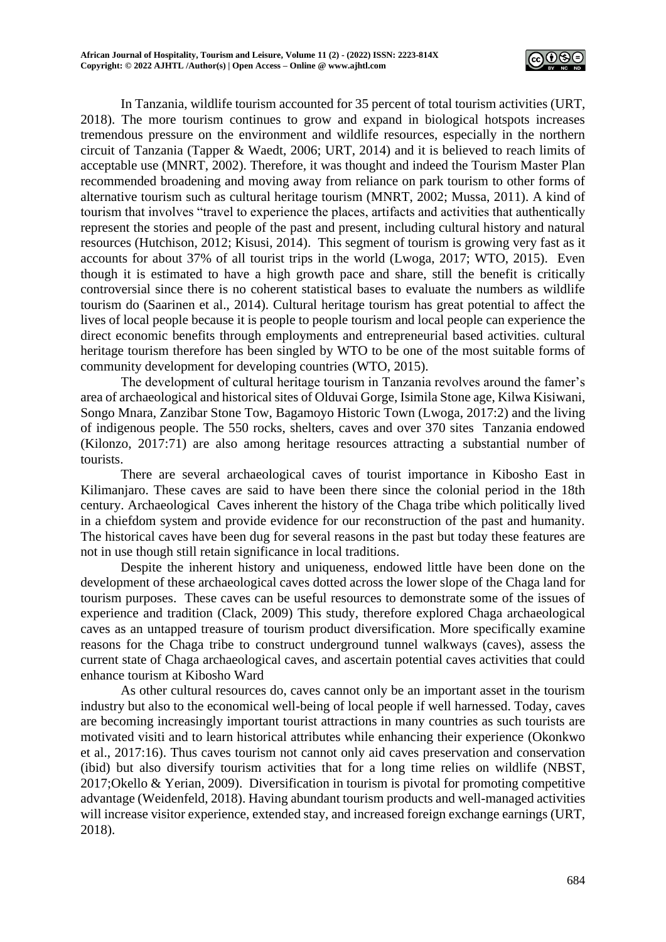

In Tanzania, wildlife tourism accounted for 35 percent of total tourism activities (URT, 2018). The more tourism continues to grow and expand in biological hotspots increases tremendous pressure on the environment and wildlife resources, especially in the northern circuit of Tanzania (Tapper & Waedt, 2006; URT, 2014) and it is believed to reach limits of acceptable use (MNRT, 2002). Therefore, it was thought and indeed the Tourism Master Plan recommended broadening and moving away from reliance on park tourism to other forms of alternative tourism such as cultural heritage tourism (MNRT, 2002; Mussa, 2011). A kind of tourism that involves "travel to experience the places, artifacts and activities that authentically represent the stories and people of the past and present, including cultural history and natural resources (Hutchison, 2012; Kisusi, 2014). This segment of tourism is growing very fast as it accounts for about 37% of all tourist trips in the world (Lwoga, 2017; WTO, 2015). Even though it is estimated to have a high growth pace and share, still the benefit is critically controversial since there is no coherent statistical bases to evaluate the numbers as wildlife tourism do (Saarinen et al., 2014). Cultural heritage tourism has great potential to affect the lives of local people because it is people to people tourism and local people can experience the direct economic benefits through employments and entrepreneurial based activities. cultural heritage tourism therefore has been singled by WTO to be one of the most suitable forms of community development for developing countries (WTO, 2015).

The development of cultural heritage tourism in Tanzania revolves around the famer's area of archaeological and historical sites of Olduvai Gorge, Isimila Stone age, Kilwa Kisiwani, Songo Mnara, Zanzibar Stone Tow, Bagamoyo Historic Town (Lwoga, 2017:2) and the living of indigenous people. The 550 rocks, shelters, caves and over 370 sites Tanzania endowed (Kilonzo, 2017:71) are also among heritage resources attracting a substantial number of tourists.

There are several archaeological caves of tourist importance in Kibosho East in Kilimanjaro. These caves are said to have been there since the colonial period in the 18th century. Archaeological Caves inherent the history of the Chaga tribe which politically lived in a chiefdom system and provide evidence for our reconstruction of the past and humanity. The historical caves have been dug for several reasons in the past but today these features are not in use though still retain significance in local traditions.

Despite the inherent history and uniqueness, endowed little have been done on the development of these archaeological caves dotted across the lower slope of the Chaga land for tourism purposes. These caves can be useful resources to demonstrate some of the issues of experience and tradition (Clack, 2009) This study, therefore explored Chaga archaeological caves as an untapped treasure of tourism product diversification. More specifically examine reasons for the Chaga tribe to construct underground tunnel walkways (caves), assess the current state of Chaga archaeological caves, and ascertain potential caves activities that could enhance tourism at Kibosho Ward

As other cultural resources do, caves cannot only be an important asset in the tourism industry but also to the economical well-being of local people if well harnessed. Today, caves are becoming increasingly important tourist attractions in many countries as such tourists are motivated visiti and to learn historical attributes while enhancing their experience (Okonkwo et al., 2017:16). Thus caves tourism not cannot only aid caves preservation and conservation (ibid) but also diversify tourism activities that for a long time relies on wildlife (NBST, 2017;Okello & Yerian, 2009). Diversification in tourism is pivotal for promoting competitive advantage (Weidenfeld, 2018). Having abundant tourism products and well-managed activities will increase visitor experience, extended stay, and increased foreign exchange earnings (URT, 2018).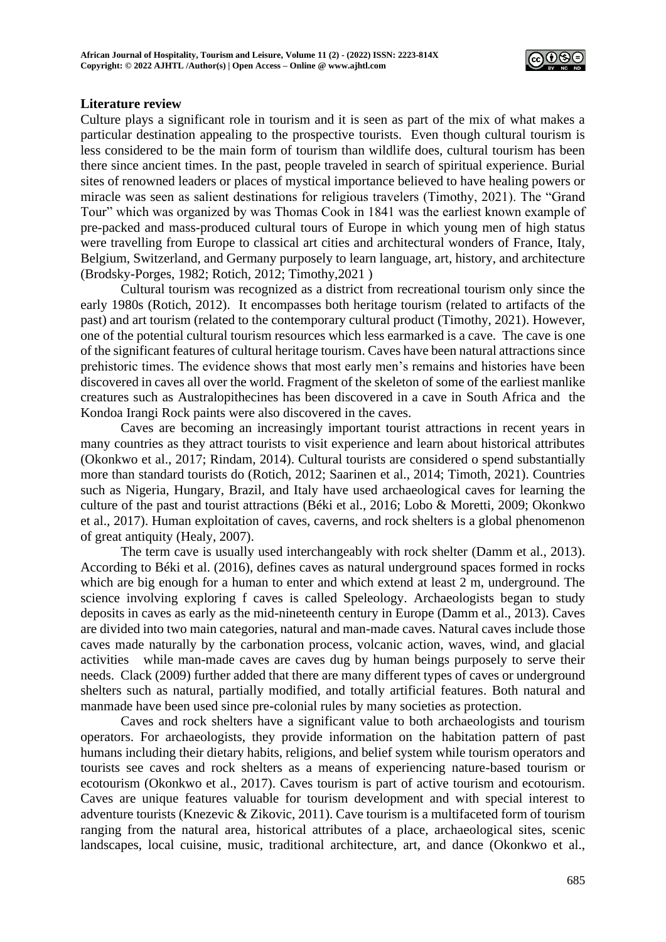

## **Literature review**

Culture plays a significant role in tourism and it is seen as part of the mix of what makes a particular destination appealing to the prospective tourists. Even though cultural tourism is less considered to be the main form of tourism than wildlife does, cultural tourism has been there since ancient times. In the past, people traveled in search of spiritual experience. Burial sites of renowned leaders or places of mystical importance believed to have healing powers or miracle was seen as salient destinations for religious travelers (Timothy, 2021). The "Grand Tour" which was organized by was Thomas Cook in 1841 was the earliest known example of pre-packed and mass-produced cultural tours of Europe in which young men of high status were travelling from Europe to classical art cities and architectural wonders of France, Italy, Belgium, Switzerland, and Germany purposely to learn language, art, history, and architecture (Brodsky-Porges, 1982; Rotich, 2012; Timothy,2021 )

Cultural tourism was recognized as a district from recreational tourism only since the early 1980s (Rotich, 2012). It encompasses both heritage tourism (related to artifacts of the past) and art tourism (related to the contemporary cultural product (Timothy, 2021). However, one of the potential cultural tourism resources which less earmarked is a cave. The cave is one of the significant features of cultural heritage tourism. Caves have been natural attractions since prehistoric times. The evidence shows that most early men's remains and histories have been discovered in caves all over the world. Fragment of the skeleton of some of the earliest manlike creatures such as Australopithecines has been discovered in a cave in South Africa and the Kondoa Irangi Rock paints were also discovered in the caves.

Caves are becoming an increasingly important tourist attractions in recent years in many countries as they attract tourists to visit experience and learn about historical attributes (Okonkwo et al., 2017; Rindam, 2014). Cultural tourists are considered o spend substantially more than standard tourists do (Rotich, 2012; Saarinen et al., 2014; Timoth, 2021). Countries such as Nigeria, Hungary, Brazil, and Italy have used archaeological caves for learning the culture of the past and tourist attractions (Béki et al., 2016; Lobo & Moretti, 2009; Okonkwo et al., 2017). Human exploitation of caves, caverns, and rock shelters is a global phenomenon of great antiquity (Healy, 2007).

The term cave is usually used interchangeably with rock shelter (Damm et al., 2013). According to Béki et al. (2016), defines caves as natural underground spaces formed in rocks which are big enough for a human to enter and which extend at least 2 m, underground. The science involving exploring f caves is called Speleology. Archaeologists began to study deposits in caves as early as the mid-nineteenth century in Europe (Damm et al., 2013). Caves are divided into two main categories, natural and man-made caves. Natural caves include those caves made naturally by the carbonation process, volcanic action, waves, wind, and glacial activities while man-made caves are caves dug by human beings purposely to serve their needs. Clack (2009) further added that there are many different types of caves or underground shelters such as natural, partially modified, and totally artificial features. Both natural and manmade have been used since pre-colonial rules by many societies as protection.

Caves and rock shelters have a significant value to both archaeologists and tourism operators. For archaeologists, they provide information on the habitation pattern of past humans including their dietary habits, religions, and belief system while tourism operators and tourists see caves and rock shelters as a means of experiencing nature-based tourism or ecotourism (Okonkwo et al., 2017). Caves tourism is part of active tourism and ecotourism. Caves are unique features valuable for tourism development and with special interest to adventure tourists (Knezevic & Zikovic, 2011). Cave tourism is a multifaceted form of tourism ranging from the natural area, historical attributes of a place, archaeological sites, scenic landscapes, local cuisine, music, traditional architecture, art, and dance (Okonkwo et al.,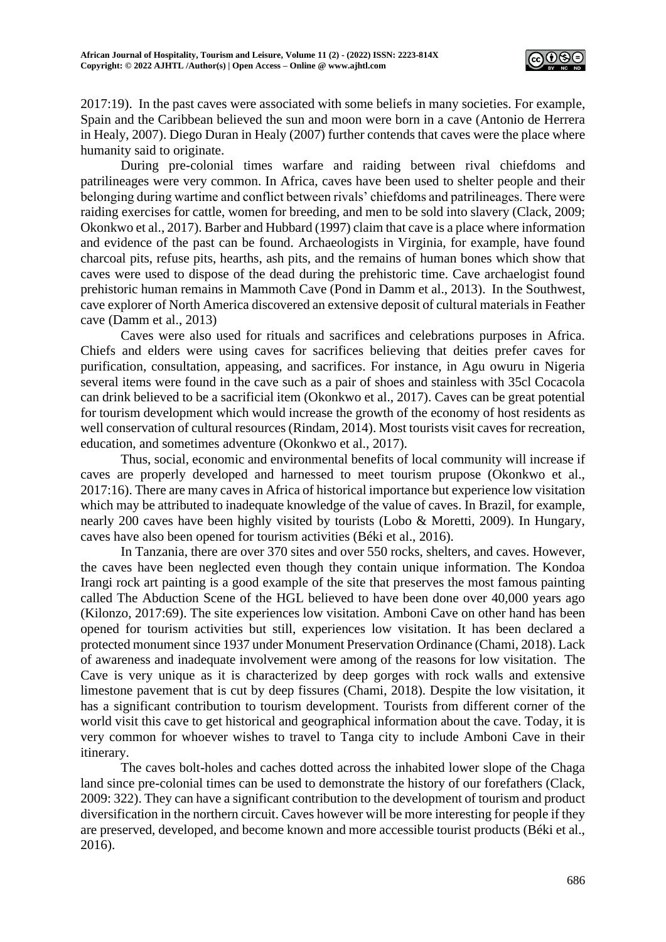

2017:19). In the past caves were associated with some beliefs in many societies. For example, Spain and the Caribbean believed the sun and moon were born in a cave (Antonio de Herrera in Healy, 2007). Diego Duran in Healy (2007) further contends that caves were the place where humanity said to originate.

During pre-colonial times warfare and raiding between rival chiefdoms and patrilineages were very common. In Africa, caves have been used to shelter people and their belonging during wartime and conflict between rivals' chiefdoms and patrilineages. There were raiding exercises for cattle, women for breeding, and men to be sold into slavery (Clack, 2009; Okonkwo et al., 2017). Barber and Hubbard (1997) claim that cave is a place where information and evidence of the past can be found. Archaeologists in Virginia, for example, have found charcoal pits, refuse pits, hearths, ash pits, and the remains of human bones which show that caves were used to dispose of the dead during the prehistoric time. Cave archaelogist found prehistoric human remains in Mammoth Cave (Pond in Damm et al., 2013). In the Southwest, cave explorer of North America discovered an extensive deposit of cultural materials in Feather cave (Damm et al., 2013)

Caves were also used for rituals and sacrifices and celebrations purposes in Africa. Chiefs and elders were using caves for sacrifices believing that deities prefer caves for purification, consultation, appeasing, and sacrifices. For instance, in Agu owuru in Nigeria several items were found in the cave such as a pair of shoes and stainless with 35cl Cocacola can drink believed to be a sacrificial item (Okonkwo et al., 2017). Caves can be great potential for tourism development which would increase the growth of the economy of host residents as well conservation of cultural resources (Rindam, 2014). Most tourists visit caves for recreation, education, and sometimes adventure (Okonkwo et al., 2017).

Thus, social, economic and environmental benefits of local community will increase if caves are properly developed and harnessed to meet tourism prupose (Okonkwo et al., 2017:16). There are many caves in Africa of historical importance but experience low visitation which may be attributed to inadequate knowledge of the value of caves. In Brazil, for example, nearly 200 caves have been highly visited by tourists (Lobo & Moretti, 2009). In Hungary, caves have also been opened for tourism activities (Béki et al., 2016).

In Tanzania, there are over 370 sites and over 550 rocks, shelters, and caves. However, the caves have been neglected even though they contain unique information. The Kondoa Irangi rock art painting is a good example of the site that preserves the most famous painting called The Abduction Scene of the HGL believed to have been done over 40,000 years ago (Kilonzo, 2017:69). The site experiences low visitation. Amboni Cave on other hand has been opened for tourism activities but still, experiences low visitation. It has been declared a protected monument since 1937 under Monument Preservation Ordinance (Chami, 2018). Lack of awareness and inadequate involvement were among of the reasons for low visitation. The Cave is very unique as it is characterized by deep gorges with rock walls and extensive limestone pavement that is cut by deep fissures (Chami, 2018). Despite the low visitation, it has a significant contribution to tourism development. Tourists from different corner of the world visit this cave to get historical and geographical information about the cave. Today, it is very common for whoever wishes to travel to Tanga city to include Amboni Cave in their itinerary.

The caves bolt-holes and caches dotted across the inhabited lower slope of the Chaga land since pre-colonial times can be used to demonstrate the history of our forefathers (Clack, 2009: 322). They can have a significant contribution to the development of tourism and product diversification in the northern circuit. Caves however will be more interesting for people if they are preserved, developed, and become known and more accessible tourist products (Béki et al., 2016).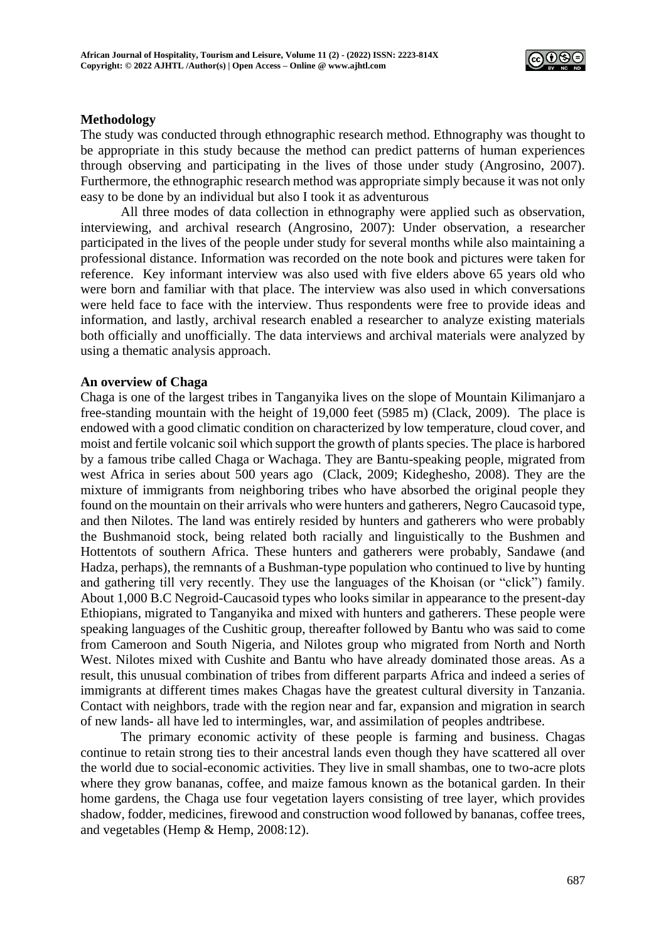

## **Methodology**

The study was conducted through ethnographic research method. Ethnography was thought to be appropriate in this study because the method can predict patterns of human experiences through observing and participating in the lives of those under study (Angrosino, 2007). Furthermore, the ethnographic research method was appropriate simply because it was not only easy to be done by an individual but also I took it as adventurous

All three modes of data collection in ethnography were applied such as observation, interviewing, and archival research (Angrosino, 2007): Under observation, a researcher participated in the lives of the people under study for several months while also maintaining a professional distance. Information was recorded on the note book and pictures were taken for reference. Key informant interview was also used with five elders above 65 years old who were born and familiar with that place. The interview was also used in which conversations were held face to face with the interview. Thus respondents were free to provide ideas and information, and lastly, archival research enabled a researcher to analyze existing materials both officially and unofficially. The data interviews and archival materials were analyzed by using a thematic analysis approach.

#### **An overview of Chaga**

Chaga is one of the largest tribes in Tanganyika lives on the slope of Mountain Kilimanjaro a free-standing mountain with the height of 19,000 feet (5985 m) (Clack, 2009). The place is endowed with a good climatic condition on characterized by low temperature, cloud cover, and moist and fertile volcanic soil which support the growth of plants species. The place is harbored by a famous tribe called Chaga or Wachaga. They are Bantu-speaking people, migrated from west Africa in series about 500 years ago (Clack, 2009; Kideghesho, 2008). They are the mixture of immigrants from neighboring tribes who have absorbed the original people they found on the mountain on their arrivals who were hunters and gatherers, Negro Caucasoid type, and then Nilotes. The land was entirely resided by hunters and gatherers who were probably the Bushmanoid stock, being related both racially and linguistically to the Bushmen and Hottentots of southern Africa. These hunters and gatherers were probably, Sandawe (and Hadza, perhaps), the remnants of a Bushman-type population who continued to live by hunting and gathering till very recently. They use the languages of the Khoisan (or "click") family. About 1,000 B.C Negroid-Caucasoid types who looks similar in appearance to the present-day Ethiopians, migrated to Tanganyika and mixed with hunters and gatherers. These people were speaking languages of the Cushitic group, thereafter followed by Bantu who was said to come from Cameroon and South Nigeria, and Nilotes group who migrated from North and North West. Nilotes mixed with Cushite and Bantu who have already dominated those areas. As a result, this unusual combination of tribes from different parparts Africa and indeed a series of immigrants at different times makes Chagas have the greatest cultural diversity in Tanzania. Contact with neighbors, trade with the region near and far, expansion and migration in search of new lands- all have led to intermingles, war, and assimilation of peoples andtribese.

The primary economic activity of these people is farming and business. Chagas continue to retain strong ties to their ancestral lands even though they have scattered all over the world due to social-economic activities. They live in small shambas, one to two-acre plots where they grow bananas, coffee, and maize famous known as the botanical garden. In their home gardens, the Chaga use four vegetation layers consisting of tree layer, which provides shadow, fodder, medicines, firewood and construction wood followed by bananas, coffee trees, and vegetables (Hemp & Hemp, 2008:12).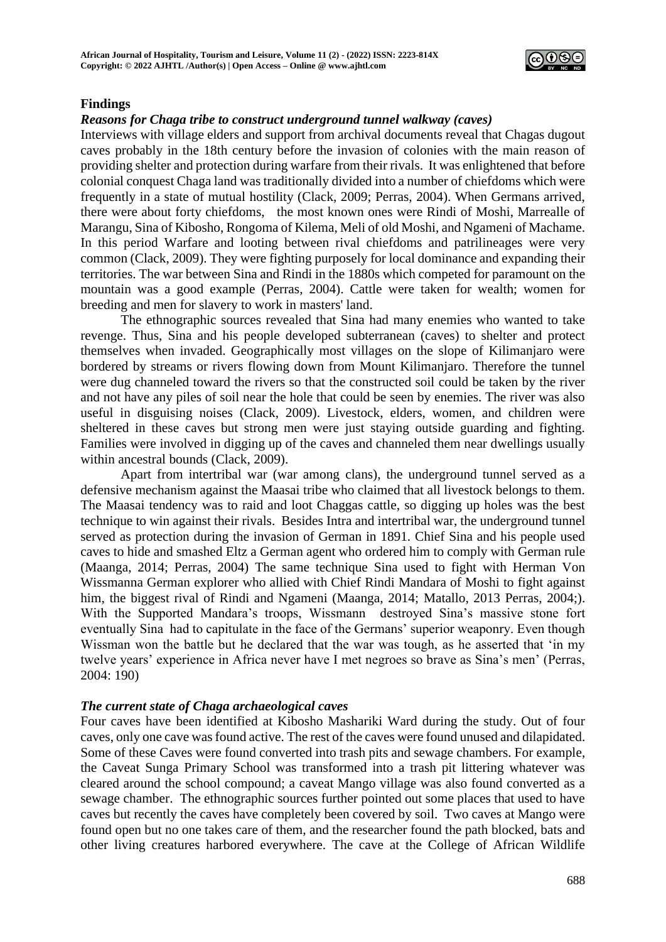

# **Findings**

#### *Reasons for Chaga tribe to construct underground tunnel walkway (caves)*

Interviews with village elders and support from archival documents reveal that Chagas dugout caves probably in the 18th century before the invasion of colonies with the main reason of providing shelter and protection during warfare from their rivals. It was enlightened that before colonial conquest Chaga land was traditionally divided into a number of chiefdoms which were frequently in a state of mutual hostility (Clack, 2009; Perras, 2004). When Germans arrived, there were about forty chiefdoms, the most known ones were Rindi of Moshi, Marrealle of Marangu, Sina of Kibosho, Rongoma of Kilema, Meli of old Moshi, and Ngameni of Machame. In this period Warfare and looting between rival chiefdoms and patrilineages were very common (Clack, 2009). They were fighting purposely for local dominance and expanding their territories. The war between Sina and Rindi in the 1880s which competed for paramount on the mountain was a good example (Perras, 2004). Cattle were taken for wealth; women for breeding and men for slavery to work in masters' land.

The ethnographic sources revealed that Sina had many enemies who wanted to take revenge. Thus, Sina and his people developed subterranean (caves) to shelter and protect themselves when invaded. Geographically most villages on the slope of Kilimanjaro were bordered by streams or rivers flowing down from Mount Kilimanjaro. Therefore the tunnel were dug channeled toward the rivers so that the constructed soil could be taken by the river and not have any piles of soil near the hole that could be seen by enemies. The river was also useful in disguising noises (Clack, 2009). Livestock, elders, women, and children were sheltered in these caves but strong men were just staying outside guarding and fighting. Families were involved in digging up of the caves and channeled them near dwellings usually within ancestral bounds (Clack, 2009).

Apart from intertribal war (war among clans), the underground tunnel served as a defensive mechanism against the Maasai tribe who claimed that all livestock belongs to them. The Maasai tendency was to raid and loot Chaggas cattle, so digging up holes was the best technique to win against their rivals. Besides Intra and intertribal war, the underground tunnel served as protection during the invasion of German in 1891. Chief Sina and his people used caves to hide and smashed Eltz a German agent who ordered him to comply with German rule (Maanga, 2014; Perras, 2004) The same technique Sina used to fight with Herman Von Wissmanna German explorer who allied with Chief Rindi Mandara of Moshi to fight against him, the biggest rival of Rindi and Ngameni (Maanga, 2014; Matallo, 2013 Perras, 2004;). With the Supported Mandara's troops, Wissmann destroyed Sina's massive stone fort eventually Sina had to capitulate in the face of the Germans' superior weaponry. Even though Wissman won the battle but he declared that the war was tough, as he asserted that 'in my twelve years' experience in Africa never have I met negroes so brave as Sina's men' (Perras, 2004: 190)

#### *The current state of Chaga archaeological caves*

Four caves have been identified at Kibosho Mashariki Ward during the study. Out of four caves, only one cave was found active. The rest of the caves were found unused and dilapidated. Some of these Caves were found converted into trash pits and sewage chambers. For example, the Caveat Sunga Primary School was transformed into a trash pit littering whatever was cleared around the school compound; a caveat Mango village was also found converted as a sewage chamber. The ethnographic sources further pointed out some places that used to have caves but recently the caves have completely been covered by soil. Two caves at Mango were found open but no one takes care of them, and the researcher found the path blocked, bats and other living creatures harbored everywhere. The cave at the College of African Wildlife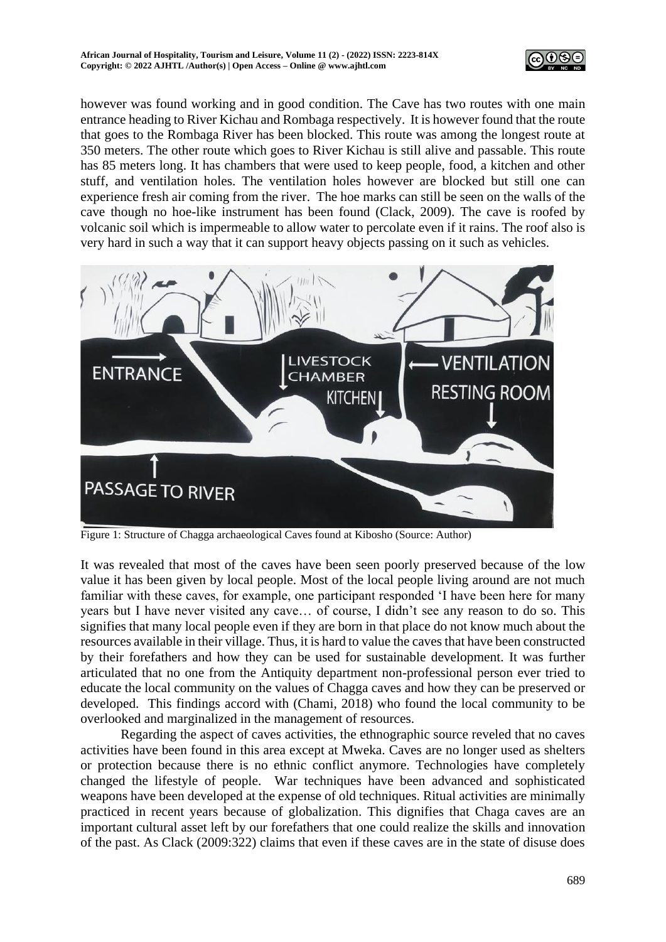

however was found working and in good condition. The Cave has two routes with one main entrance heading to River Kichau and Rombaga respectively. It is however found that the route that goes to the Rombaga River has been blocked. This route was among the longest route at 350 meters. The other route which goes to River Kichau is still alive and passable. This route has 85 meters long. It has chambers that were used to keep people, food, a kitchen and other stuff, and ventilation holes. The ventilation holes however are blocked but still one can experience fresh air coming from the river. The hoe marks can still be seen on the walls of the cave though no hoe-like instrument has been found (Clack, 2009). The cave is roofed by volcanic soil which is impermeable to allow water to percolate even if it rains. The roof also is very hard in such a way that it can support heavy objects passing on it such as vehicles.



Figure 1: Structure of Chagga archaeological Caves found at Kibosho (Source: Author)

It was revealed that most of the caves have been seen poorly preserved because of the low value it has been given by local people. Most of the local people living around are not much familiar with these caves, for example, one participant responded 'I have been here for many years but I have never visited any cave… of course, I didn't see any reason to do so. This signifies that many local people even if they are born in that place do not know much about the resources available in their village. Thus, it is hard to value the caves that have been constructed by their forefathers and how they can be used for sustainable development. It was further articulated that no one from the Antiquity department non-professional person ever tried to educate the local community on the values of Chagga caves and how they can be preserved or developed. This findings accord with (Chami, 2018) who found the local community to be overlooked and marginalized in the management of resources.

Regarding the aspect of caves activities, the ethnographic source reveled that no caves activities have been found in this area except at Mweka. Caves are no longer used as shelters or protection because there is no ethnic conflict anymore. Technologies have completely changed the lifestyle of people. War techniques have been advanced and sophisticated weapons have been developed at the expense of old techniques. Ritual activities are minimally practiced in recent years because of globalization. This dignifies that Chaga caves are an important cultural asset left by our forefathers that one could realize the skills and innovation of the past. As Clack (2009:322) claims that even if these caves are in the state of disuse does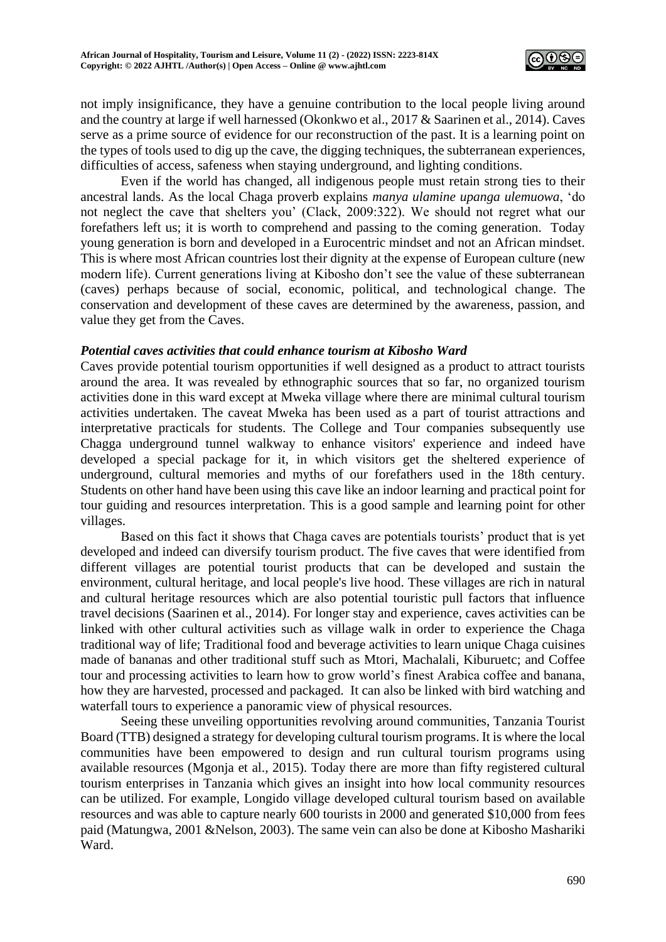

not imply insignificance, they have a genuine contribution to the local people living around and the country at large if well harnessed (Okonkwo et al., 2017 & Saarinen et al., 2014). Caves serve as a prime source of evidence for our reconstruction of the past. It is a learning point on the types of tools used to dig up the cave, the digging techniques, the subterranean experiences, difficulties of access, safeness when staying underground, and lighting conditions.

Even if the world has changed, all indigenous people must retain strong ties to their ancestral lands. As the local Chaga proverb explains *manya ulamine upanga ulemuowa*, 'do not neglect the cave that shelters you' (Clack, 2009:322). We should not regret what our forefathers left us; it is worth to comprehend and passing to the coming generation. Today young generation is born and developed in a Eurocentric mindset and not an African mindset. This is where most African countries lost their dignity at the expense of European culture (new modern life). Current generations living at Kibosho don't see the value of these subterranean (caves) perhaps because of social, economic, political, and technological change. The conservation and development of these caves are determined by the awareness, passion, and value they get from the Caves.

# *Potential caves activities that could enhance tourism at Kibosho Ward*

Caves provide potential tourism opportunities if well designed as a product to attract tourists around the area. It was revealed by ethnographic sources that so far, no organized tourism activities done in this ward except at Mweka village where there are minimal cultural tourism activities undertaken. The caveat Mweka has been used as a part of tourist attractions and interpretative practicals for students. The College and Tour companies subsequently use Chagga underground tunnel walkway to enhance visitors' experience and indeed have developed a special package for it, in which visitors get the sheltered experience of underground, cultural memories and myths of our forefathers used in the 18th century. Students on other hand have been using this cave like an indoor learning and practical point for tour guiding and resources interpretation. This is a good sample and learning point for other villages.

Based on this fact it shows that Chaga caves are potentials tourists' product that is yet developed and indeed can diversify tourism product. The five caves that were identified from different villages are potential tourist products that can be developed and sustain the environment, cultural heritage, and local people's live hood. These villages are rich in natural and cultural heritage resources which are also potential touristic pull factors that influence travel decisions (Saarinen et al., 2014). For longer stay and experience, caves activities can be linked with other cultural activities such as village walk in order to experience the Chaga traditional way of life; Traditional food and beverage activities to learn unique Chaga cuisines made of bananas and other traditional stuff such as Mtori, Machalali, Kiburuetc; and Coffee tour and processing activities to learn how to grow world's finest Arabica coffee and banana, how they are harvested, processed and packaged. It can also be linked with bird watching and waterfall tours to experience a panoramic view of physical resources.

Seeing these unveiling opportunities revolving around communities, Tanzania Tourist Board (TTB) designed a strategy for developing cultural tourism programs. It is where the local communities have been empowered to design and run cultural tourism programs using available resources (Mgonja et al., 2015). Today there are more than fifty registered cultural tourism enterprises in Tanzania which gives an insight into how local community resources can be utilized. For example, Longido village developed cultural tourism based on available resources and was able to capture nearly 600 tourists in 2000 and generated \$10,000 from fees paid (Matungwa, 2001 &Nelson, 2003). The same vein can also be done at Kibosho Mashariki Ward.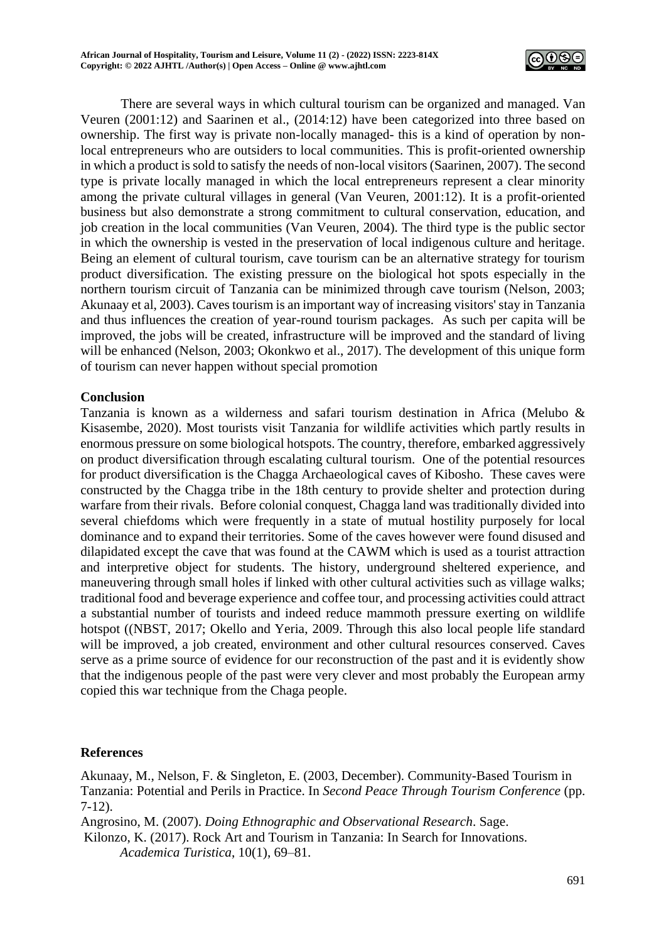

There are several ways in which cultural tourism can be organized and managed. Van Veuren (2001:12) and Saarinen et al., (2014:12) have been categorized into three based on ownership. The first way is private non-locally managed- this is a kind of operation by nonlocal entrepreneurs who are outsiders to local communities. This is profit-oriented ownership in which a product is sold to satisfy the needs of non-local visitors (Saarinen, 2007). The second type is private locally managed in which the local entrepreneurs represent a clear minority among the private cultural villages in general (Van Veuren, 2001:12). It is a profit-oriented business but also demonstrate a strong commitment to cultural conservation, education, and job creation in the local communities (Van Veuren, 2004). The third type is the public sector in which the ownership is vested in the preservation of local indigenous culture and heritage. Being an element of cultural tourism, cave tourism can be an alternative strategy for tourism product diversification. The existing pressure on the biological hot spots especially in the northern tourism circuit of Tanzania can be minimized through cave tourism (Nelson, 2003; Akunaay et al, 2003). Caves tourism is an important way of increasing visitors' stay in Tanzania and thus influences the creation of year-round tourism packages. As such per capita will be improved, the jobs will be created, infrastructure will be improved and the standard of living will be enhanced (Nelson, 2003; Okonkwo et al., 2017). The development of this unique form of tourism can never happen without special promotion

# **Conclusion**

Tanzania is known as a wilderness and safari tourism destination in Africa (Melubo & Kisasembe, 2020). Most tourists visit Tanzania for wildlife activities which partly results in enormous pressure on some biological hotspots. The country, therefore, embarked aggressively on product diversification through escalating cultural tourism. One of the potential resources for product diversification is the Chagga Archaeological caves of Kibosho. These caves were constructed by the Chagga tribe in the 18th century to provide shelter and protection during warfare from their rivals. Before colonial conquest, Chagga land was traditionally divided into several chiefdoms which were frequently in a state of mutual hostility purposely for local dominance and to expand their territories. Some of the caves however were found disused and dilapidated except the cave that was found at the CAWM which is used as a tourist attraction and interpretive object for students. The history, underground sheltered experience, and maneuvering through small holes if linked with other cultural activities such as village walks; traditional food and beverage experience and coffee tour, and processing activities could attract a substantial number of tourists and indeed reduce mammoth pressure exerting on wildlife hotspot ((NBST, 2017; Okello and Yeria, 2009. Through this also local people life standard will be improved, a job created, environment and other cultural resources conserved. Caves serve as a prime source of evidence for our reconstruction of the past and it is evidently show that the indigenous people of the past were very clever and most probably the European army copied this war technique from the Chaga people.

# **References**

Akunaay, M., Nelson, F. & Singleton, E. (2003, December). Community-Based Tourism in Tanzania: Potential and Perils in Practice. In *Second Peace Through Tourism Conference* (pp. 7-12).

Angrosino, M. (2007). *Doing Ethnographic and Observational Research*. Sage.

Kilonzo, K. (2017). Rock Art and Tourism in Tanzania: In Search for Innovations. *Academica Turistica*, 10(1), 69–81.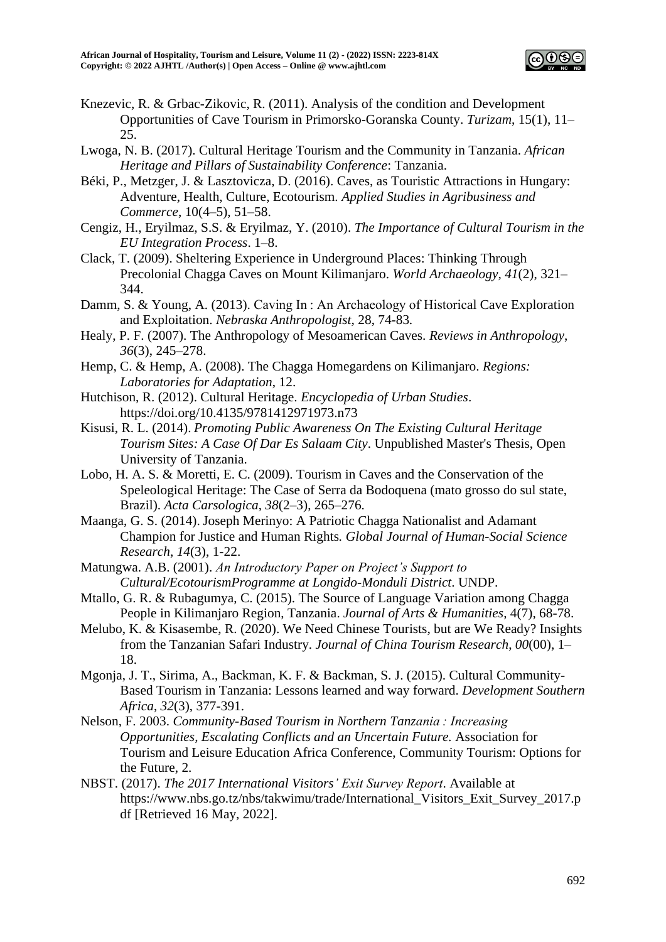

- Knezevic, R. & Grbac-Zikovic, R. (2011). Analysis of the condition and Development Opportunities of Cave Tourism in Primorsko-Goranska County. *Turizam*, 15(1), 11– 25.
- Lwoga, N. B. (2017). Cultural Heritage Tourism and the Community in Tanzania. *African Heritage and Pillars of Sustainability Conference*: Tanzania.
- Béki, P., Metzger, J. & Lasztovicza, D. (2016). Caves, as Touristic Attractions in Hungary: Adventure, Health, Culture, Ecotourism. *Applied Studies in Agribusiness and Commerce*, 10(4–5), 51–58.
- Cengiz, H., Eryilmaz, S.S. & Eryilmaz, Y. (2010). *The Importance of Cultural Tourism in the EU Integration Process*. 1–8.
- Clack, T. (2009). Sheltering Experience in Underground Places: Thinking Through Precolonial Chagga Caves on Mount Kilimanjaro. *World Archaeology*, *41*(2), 321– 344.
- Damm, S. & Young, A. (2013). Caving In : An Archaeology of Historical Cave Exploration and Exploitation. *Nebraska Anthropologist,* 28, 74-83*.*
- Healy, P. F. (2007). The Anthropology of Mesoamerican Caves. *Reviews in Anthropology*, *36*(3), 245–278.
- Hemp, C. & Hemp, A. (2008). The Chagga Homegardens on Kilimanjaro. *Regions: Laboratories for Adaptation*, 12.
- Hutchison, R. (2012). Cultural Heritage. *Encyclopedia of Urban Studies*. https://doi.org/10.4135/9781412971973.n73
- Kisusi, R. L. (2014). *Promoting Public Awareness On The Existing Cultural Heritage Tourism Sites: A Case Of Dar Es Salaam City*. Unpublished Master's Thesis, Open University of Tanzania.
- Lobo, H. A. S. & Moretti, E. C. (2009). Tourism in Caves and the Conservation of the Speleological Heritage: The Case of Serra da Bodoquena (mato grosso do sul state, Brazil). *Acta Carsologica*, *38*(2–3), 265–276.
- Maanga, G. S. (2014). Joseph Merinyo: A Patriotic Chagga Nationalist and Adamant Champion for Justice and Human Rights*. Global Journal of Human-Social Science Research*, *14*(3), 1-22.
- Matungwa. A.B. (2001). *An Introductory Paper on Project's Support to Cultural/EcotourismProgramme at Longido-Monduli District*. UNDP.
- Mtallo, G. R. & Rubagumya, C. (2015). The Source of Language Variation among Chagga People in Kilimanjaro Region, Tanzania. *Journal of Arts & Humanities*, 4(7), 68-78.
- Melubo, K. & Kisasembe, R. (2020). We Need Chinese Tourists, but are We Ready? Insights from the Tanzanian Safari Industry. *Journal of China Tourism Research*, *00*(00), 1– 18.
- Mgonja, J. T., Sirima, A., Backman, K. F. & Backman, S. J. (2015). Cultural Community-Based Tourism in Tanzania: Lessons learned and way forward. *Development Southern Africa*, *32*(3), 377-391.
- Nelson, F. 2003. *Community-Based Tourism in Northern Tanzania : Increasing Opportunities, Escalating Conflicts and an Uncertain Future.* Association for Tourism and Leisure Education Africa Conference, Community Tourism: Options for the Future, 2.
- NBST. (2017). *The 2017 International Visitors' Exit Survey Report*. Available at https://www.nbs.go.tz/nbs/takwimu/trade/International\_Visitors\_Exit\_Survey\_2017.p df [Retrieved 16 May, 2022].